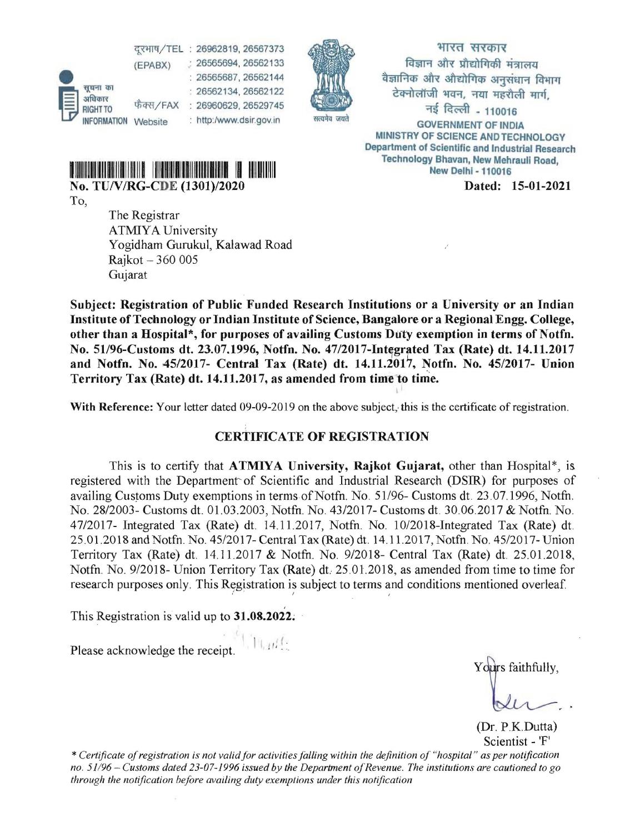~~n =~ : 26562134, 26562122 eiM)dlJ) , ;nn lJT1f, RIGHTTO <sup>फ क्स</sup>/FAX : 26960629, 26529745<br>INFORMATION Website : http://www.dsir.gov.in सत्यमेव जयते - GOVERNMENT OF INDI



~/TEl : 26962819, 26567373 1{T'ffl 'fI '< 4w< न्दूरभाष/TEL : 26962819, 26567373<br>
(EPABX) : 26565694, 26562133<br>
: 26565687, 26562134, 26562122<br>
3tR strategive the strategies of the strategies of the strategies of the strategies of the strategies of the strategies of t : 26565687, 26562144 \$11 q) 3tR dIfTlq) ~w-:r 1Wwf GOVERNMENT OF INDIA MINISTRY OF SCIENCE AND TECHNOLOGY Department of Scientific and Industrial Research Technology Bhavan, New Mehraull Road,

III III~ II~I New Deihl - 110016 <sup>1111111</sup>IIIII~IIIIIIIIIIIIIIIIIIIIII II 11111111111

No. TUNIRG-CDE *(1301)/2020* Dated: 15-01-2021

To,

The Registrar ATMIYA University Y ogidham Gurukul, Kalawad Road Rajkot - 360 005 Gujarat

Subject: Registration of Public Funded Research Institutions or a University or an Indian Institute of Technology or Indian Institute of Science, Bangalore or a Regional Engg. College, other than a Hospital\*, for purposes of availing Customs Duty exemption in terms of Notfn. No. 51196-Customs dt. 23.07.1996, Notfn. No. 47/2017-Int~grated Tax (Rate) di. 14.11.2017 and Notfn. No. *45/2017-* Central Tax (Rate) dt. 14.11.2017, Notfn. No. *45/2017-* Union Territory Tax (Rate) dt. 14.11.2017, as amended from time to time. II

With Reference: Your letter dated 09-09-2019 on the above subject, this is the certificate of registration.

## CERTIFICATE OF REGISTRATION

This is to certify that ATMIYA University, Rajkot Gujarat, other than Hospital\*, is. registered with the Department' of Scientific and Industrial Research (DSIR) for purposes of availing Customs Duty exemptions in terms·ofNotfn. No. *51196-* Customs dt. 23.07.1996, Notfn. No. 28/2003- Customs dt. 01.03.2003, Notfn. No. 43/2017- Customs dt. 30.06.2017 & Notfn. No. 47/2017- Integrated Tax (Rate) dt. 14.11.2017, Notfn. No. 10/2018-Integrated Tax (Rate) dt. 25.0l.2018 and Notfn. No. 45/2017- Central Tax (Rate) dt. 14.1l.2017, Notfn. No. 45/2017- Union Territory Tax (Rate) dt. 14.11.2017 & Notfn. No. 9/2018- Central Tax (Rate) dt. 25.01.2018, Notfn. No. 9/2018- Union Territory Tax (Rate) dt. 25.01.2018, as amended from time to time for research purposes only. This Registration is subject to terms and conditions mentioned overleaf.

, This Registration is valid up to 31.08.2022;

Please acknowledge the receipt.  $\prod_{i=1}^{n}$  I I  $\prod_{i=1}^{n}$ 

Yours faithfully,

(Dr. P.K.Dutta) Scientist - 'F'

\* *Certificate ofregistration is not validjor activities jalling within the definition of "hospital" as per* not~fication *no.* 51/96 - *Customs dated 23-07-1996 issued by the Department ofRevenue. The institutions are cautioned to go through the notification before availing duty exemptions under this notification*